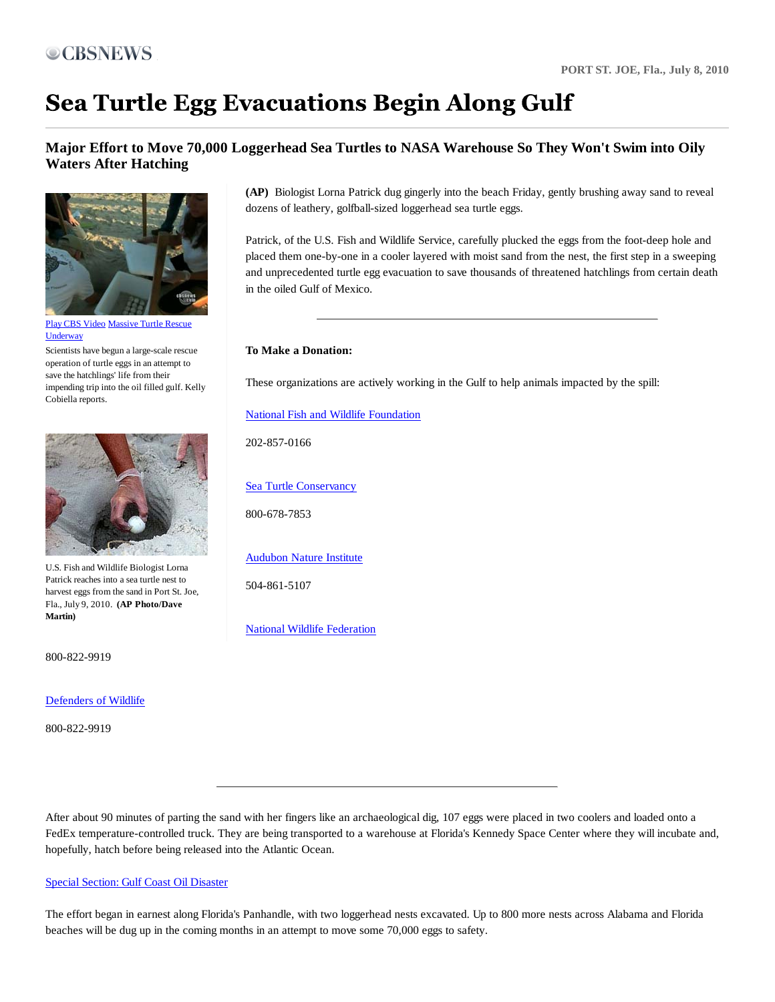## **©CBSNEWS**

# **Sea Turtle Egg Evacuations Begin Along Gulf**

### **Major Effort to Move 70,000 Loggerhead Sea Turtles to NASA Warehouse So They Won't Swim into Oily Waters After Hatching**



Play CBS Video Massive Turtle Rescue Underway

Scientists have begun a large-scale rescue operation of turtle eggs in an attempt to save the hatchlings' life from their impending trip into the oil filled gulf. Kelly Cobiella reports.



U.S. Fish and Wildlife Biologist Lorna Patrick reaches into a sea turtle nest to harvest eggs from the sand in Port St. Joe, Fla., July 9, 2010. **(AP Photo/Dave Martin)**

800-822-9919

#### Defenders of Wildlife

800-822-9919

**(AP)** Biologist Lorna Patrick dug gingerly into the beach Friday, gently brushing away sand to reveal dozens of leathery, golfball-sized loggerhead sea turtle eggs.

Patrick, of the U.S. Fish and Wildlife Service, carefully plucked the eggs from the foot-deep hole and placed them one-by-one in a cooler layered with moist sand from the nest, the first step in a sweeping and unprecedented turtle egg evacuation to save thousands of threatened hatchlings from certain death in the oiled Gulf of Mexico.

#### **To Make a Donation:**

These organizations are actively working in the Gulf to help animals impacted by the spill:

National Fish and Wildlife Foundation

202-857-0166

Sea Turtle Conservancy

800-678-7853

Audubon Nature Institute

504-861-5107

National Wildlife Federation

After about 90 minutes of parting the sand with her fingers like an archaeological dig, 107 eggs were placed in two coolers and loaded onto a FedEx temperature-controlled truck. They are being transported to a warehouse at Florida's Kennedy Space Center where they will incubate and, hopefully, hatch before being released into the Atlantic Ocean.

#### Special Section: Gulf Coast Oil Disaster

The effort began in earnest along Florida's Panhandle, with two loggerhead nests excavated. Up to 800 more nests across Alabama and Florida beaches will be dug up in the coming months in an attempt to move some 70,000 eggs to safety.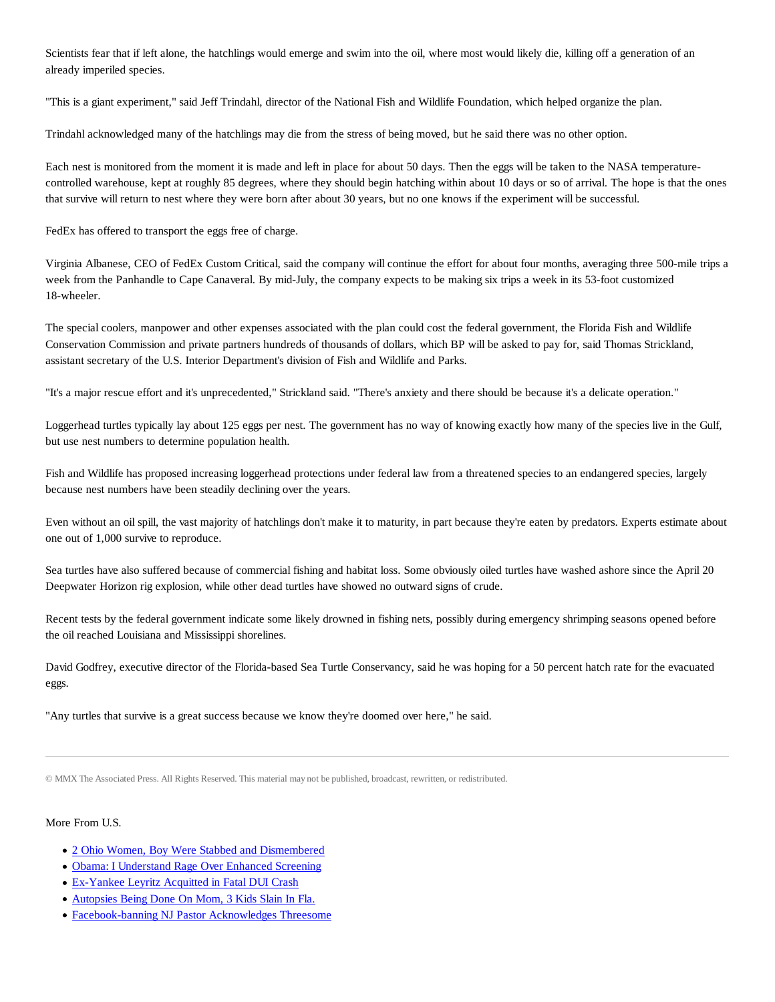Scientists fear that if left alone, the hatchlings would emerge and swim into the oil, where most would likely die, killing off a generation of an already imperiled species.

"This is a giant experiment," said Jeff Trindahl, director of the National Fish and Wildlife Foundation, which helped organize the plan.

Trindahl acknowledged many of the hatchlings may die from the stress of being moved, but he said there was no other option.

Each nest is monitored from the moment it is made and left in place for about 50 days. Then the eggs will be taken to the NASA temperaturecontrolled warehouse, kept at roughly 85 degrees, where they should begin hatching within about 10 days or so of arrival. The hope is that the ones that survive will return to nest where they were born after about 30 years, but no one knows if the experiment will be successful.

FedEx has offered to transport the eggs free of charge.

Virginia Albanese, CEO of FedEx Custom Critical, said the company will continue the effort for about four months, averaging three 500-mile trips a week from the Panhandle to Cape Canaveral. By mid-July, the company expects to be making six trips a week in its 53-foot customized 18-wheeler.

The special coolers, manpower and other expenses associated with the plan could cost the federal government, the Florida Fish and Wildlife Conservation Commission and private partners hundreds of thousands of dollars, which BP will be asked to pay for, said Thomas Strickland, assistant secretary of the U.S. Interior Department's division of Fish and Wildlife and Parks.

"It's a major rescue effort and it's unprecedented," Strickland said. "There's anxiety and there should be because it's a delicate operation."

Loggerhead turtles typically lay about 125 eggs per nest. The government has no way of knowing exactly how many of the species live in the Gulf, but use nest numbers to determine population health.

Fish and Wildlife has proposed increasing loggerhead protections under federal law from a threatened species to an endangered species, largely because nest numbers have been steadily declining over the years.

Even without an oil spill, the vast majority of hatchlings don't make it to maturity, in part because they're eaten by predators. Experts estimate about one out of 1,000 survive to reproduce.

Sea turtles have also suffered because of commercial fishing and habitat loss. Some obviously oiled turtles have washed ashore since the April 20 Deepwater Horizon rig explosion, while other dead turtles have showed no outward signs of crude.

Recent tests by the federal government indicate some likely drowned in fishing nets, possibly during emergency shrimping seasons opened before the oil reached Louisiana and Mississippi shorelines.

David Godfrey, executive director of the Florida-based Sea Turtle Conservancy, said he was hoping for a 50 percent hatch rate for the evacuated eggs.

"Any turtles that survive is a great success because we know they're doomed over here," he said.

© MMX The Associated Press. All Rights Reserved. This material may not be published, broadcast, rewritten, or redistributed.

#### More From U.S.

- 2 Ohio Women, Boy Were Stabbed and Dismembered
- Obama: I Understand Rage Over Enhanced Screening
- Ex-Yankee Leyritz Acquitted in Fatal DUI Crash
- Autopsies Being Done On Mom, 3 Kids Slain In Fla.
- Facebook-banning NJ Pastor Acknowledges Threesome